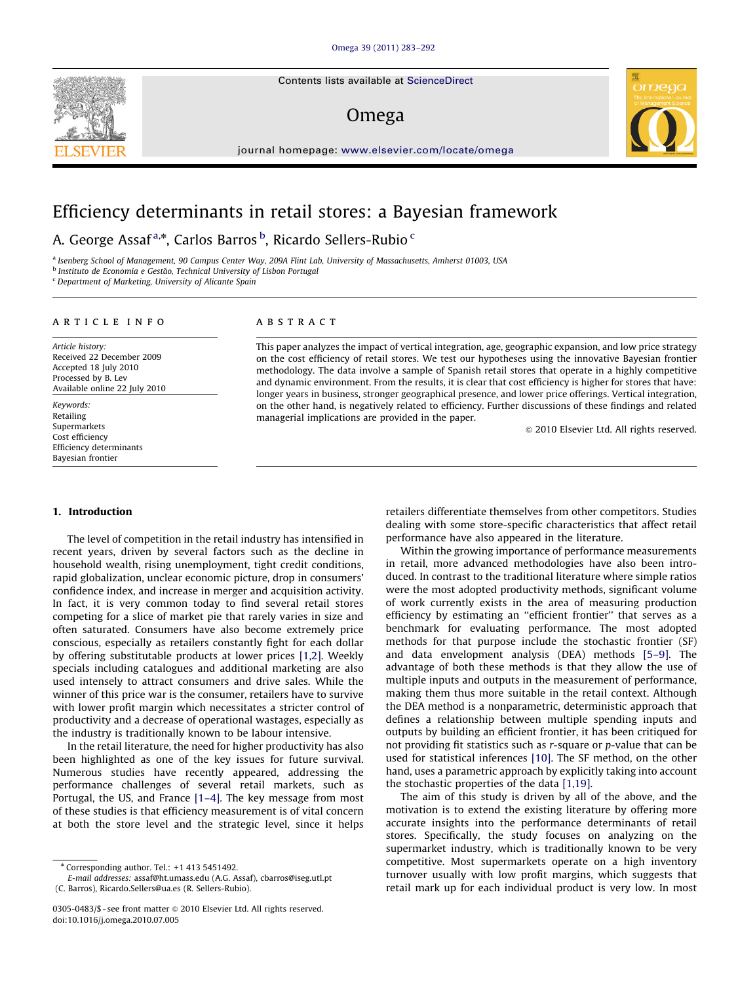Contents lists available at ScienceDirect

# Omega



journal homepage: [www.elsevier.com/locate/omega](www.elsevier.com/ome)

# Efficiency determinants in retail stores: a Bayesian framework

A. George Assaf<sup>a,\*</sup>, Carlos Barros <sup>b</sup>, Ricardo Sellers-Rubio <sup>c</sup>

<sup>a</sup> Isenberg School of Management, 90 Campus Center Way, 209A Flint Lab, University of Massachusetts, Amherst 01003, USA

<sup>b</sup> Instituto de Economia e Gestão, Technical University of Lisbon Portugal

<sup>c</sup> Department of Marketing, University of Alicante Spain

# article info

Article history: Received 22 December 2009 Accepted 18 July 2010 Processed by B. Lev Available online 22 July 2010

Keywords: Retailing Supermarkets Cost efficiency Efficiency determinants Bayesian frontier

# ABSTRACT

This paper analyzes the impact of vertical integration, age, geographic expansion, and low price strategy on the cost efficiency of retail stores. We test our hypotheses using the innovative Bayesian frontier methodology. The data involve a sample of Spanish retail stores that operate in a highly competitive and dynamic environment. From the results, it is clear that cost efficiency is higher for stores that have: longer years in business, stronger geographical presence, and lower price offerings. Vertical integration, on the other hand, is negatively related to efficiency. Further discussions of these findings and related managerial implications are provided in the paper.

 $\odot$  2010 Elsevier Ltd. All rights reserved.

### 1. Introduction

The level of competition in the retail industry has intensified in recent years, driven by several factors such as the decline in household wealth, rising unemployment, tight credit conditions, rapid globalization, unclear economic picture, drop in consumers' confidence index, and increase in merger and acquisition activity. In fact, it is very common today to find several retail stores competing for a slice of market pie that rarely varies in size and often saturated. Consumers have also become extremely price conscious, especially as retailers constantly fight for each dollar by offering substitutable products at lower prices [\[1,2\]](#page-8-0). Weekly specials including catalogues and additional marketing are also used intensely to attract consumers and drive sales. While the winner of this price war is the consumer, retailers have to survive with lower profit margin which necessitates a stricter control of productivity and a decrease of operational wastages, especially as the industry is traditionally known to be labour intensive.

In the retail literature, the need for higher productivity has also been highlighted as one of the key issues for future survival. Numerous studies have recently appeared, addressing the performance challenges of several retail markets, such as Portugal, the US, and France [\[1–4\].](#page-8-0) The key message from most of these studies is that efficiency measurement is of vital concern at both the store level and the strategic level, since it helps

[\(C. Barros\),](mailto:cbarros@iseg.utl.pt) [Ricardo.Sellers@ua.es \(R. Sellers-Rubio\)](mailto:Ricardo.Sellers@ua.es).

retailers differentiate themselves from other competitors. Studies dealing with some store-specific characteristics that affect retail performance have also appeared in the literature.

Within the growing importance of performance measurements in retail, more advanced methodologies have also been introduced. In contrast to the traditional literature where simple ratios were the most adopted productivity methods, significant volume of work currently exists in the area of measuring production efficiency by estimating an ''efficient frontier'' that serves as a benchmark for evaluating performance. The most adopted methods for that purpose include the stochastic frontier (SF) and data envelopment analysis (DEA) methods [\[5–9\].](#page-8-0) The advantage of both these methods is that they allow the use of multiple inputs and outputs in the measurement of performance, making them thus more suitable in the retail context. Although the DEA method is a nonparametric, deterministic approach that defines a relationship between multiple spending inputs and outputs by building an efficient frontier, it has been critiqued for not providing fit statistics such as r-square or p-value that can be used for statistical inferences [\[10\].](#page-8-0) The SF method, on the other hand, uses a parametric approach by explicitly taking into account the stochastic properties of the data [\[1,19\].](#page-8-0)

The aim of this study is driven by all of the above, and the motivation is to extend the existing literature by offering more accurate insights into the performance determinants of retail stores. Specifically, the study focuses on analyzing on the supermarket industry, which is traditionally known to be very competitive. Most supermarkets operate on a high inventory turnover usually with low profit margins, which suggests that retail mark up for each individual product is very low. In most



 $*$  Corresponding author. Tel.:  $+1$  413 5451492.

E-mail addresses: [assaf@ht.umass.edu \(A.G. Assaf\),](mailto:assaf@ht.umass.edu) [cbarros@iseg.utl.pt](mailto:cbarros@iseg.utl.pt)

<sup>0305-0483/\$ -</sup> see front matter @ 2010 Elsevier Ltd. All rights reserved. doi:[10.1016/j.omega.2010.07.005](dx.doi.org/10.1016/j.omega.2010.07.005)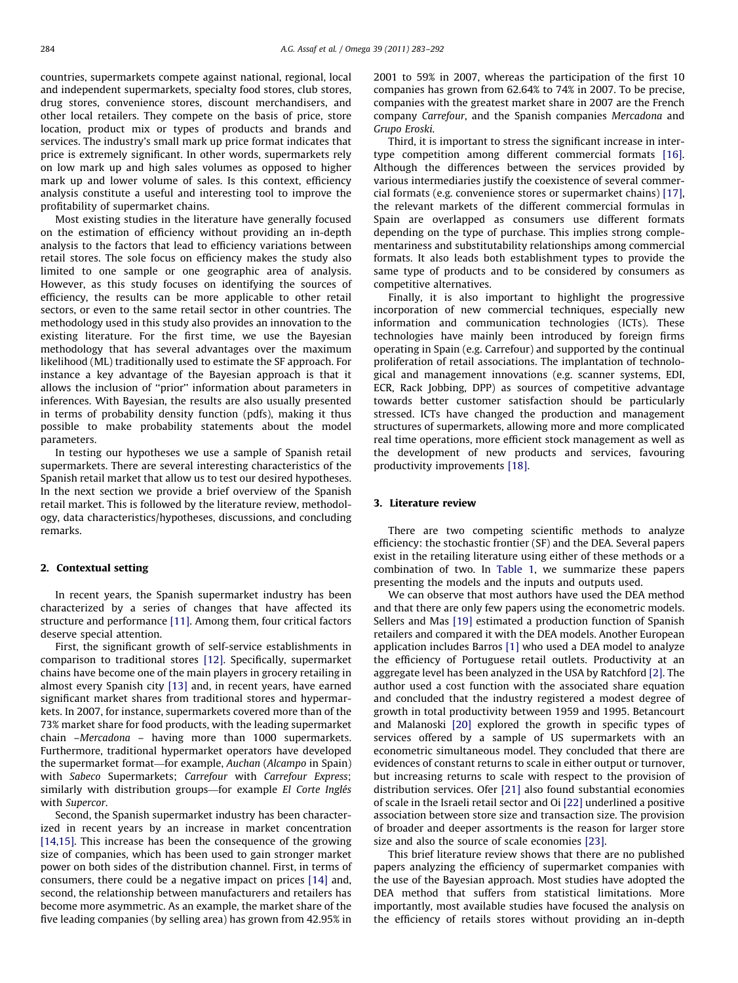countries, supermarkets compete against national, regional, local and independent supermarkets, specialty food stores, club stores, drug stores, convenience stores, discount merchandisers, and other local retailers. They compete on the basis of price, store location, product mix or types of products and brands and services. The industry's small mark up price format indicates that price is extremely significant. In other words, supermarkets rely on low mark up and high sales volumes as opposed to higher mark up and lower volume of sales. Is this context, efficiency analysis constitute a useful and interesting tool to improve the profitability of supermarket chains.

Most existing studies in the literature have generally focused on the estimation of efficiency without providing an in-depth analysis to the factors that lead to efficiency variations between retail stores. The sole focus on efficiency makes the study also limited to one sample or one geographic area of analysis. However, as this study focuses on identifying the sources of efficiency, the results can be more applicable to other retail sectors, or even to the same retail sector in other countries. The methodology used in this study also provides an innovation to the existing literature. For the first time, we use the Bayesian methodology that has several advantages over the maximum likelihood (ML) traditionally used to estimate the SF approach. For instance a key advantage of the Bayesian approach is that it allows the inclusion of ''prior'' information about parameters in inferences. With Bayesian, the results are also usually presented in terms of probability density function (pdfs), making it thus possible to make probability statements about the model parameters.

In testing our hypotheses we use a sample of Spanish retail supermarkets. There are several interesting characteristics of the Spanish retail market that allow us to test our desired hypotheses. In the next section we provide a brief overview of the Spanish retail market. This is followed by the literature review, methodology, data characteristics/hypotheses, discussions, and concluding remarks.

#### 2. Contextual setting

In recent years, the Spanish supermarket industry has been characterized by a series of changes that have affected its structure and performance [\[11\]](#page-8-0). Among them, four critical factors deserve special attention.

First, the significant growth of self-service establishments in comparison to traditional stores [\[12\]](#page-8-0). Specifically, supermarket chains have become one of the main players in grocery retailing in almost every Spanish city [\[13\]](#page-8-0) and, in recent years, have earned significant market shares from traditional stores and hypermarkets. In 2007, for instance, supermarkets covered more than of the 73% market share for food products, with the leading supermarket chain –Mercadona – having more than 1000 supermarkets. Furthermore, traditional hypermarket operators have developed the supermarket format—for example, Auchan (Alcampo in Spain) with Sabeco Supermarkets; Carrefour with Carrefour Express; similarly with distribution groups—for example El Corte Inglés with Supercor.

Second, the Spanish supermarket industry has been characterized in recent years by an increase in market concentration [\[14,15\].](#page-8-0) This increase has been the consequence of the growing size of companies, which has been used to gain stronger market power on both sides of the distribution channel. First, in terms of consumers, there could be a negative impact on prices [\[14\]](#page-8-0) and, second, the relationship between manufacturers and retailers has become more asymmetric. As an example, the market share of the five leading companies (by selling area) has grown from 42.95% in 2001 to 59% in 2007, whereas the participation of the first 10 companies has grown from 62.64% to 74% in 2007. To be precise, companies with the greatest market share in 2007 are the French company Carrefour, and the Spanish companies Mercadona and Grupo Eroski.

Third, it is important to stress the significant increase in intertype competition among different commercial formats [\[16\].](#page-8-0) Although the differences between the services provided by various intermediaries justify the coexistence of several commercial formats (e.g. convenience stores or supermarket chains) [\[17\],](#page-8-0) the relevant markets of the different commercial formulas in Spain are overlapped as consumers use different formats depending on the type of purchase. This implies strong complementariness and substitutability relationships among commercial formats. It also leads both establishment types to provide the same type of products and to be considered by consumers as competitive alternatives.

Finally, it is also important to highlight the progressive incorporation of new commercial techniques, especially new information and communication technologies (ICTs). These technologies have mainly been introduced by foreign firms operating in Spain (e.g. Carrefour) and supported by the continual proliferation of retail associations. The implantation of technological and management innovations (e.g. scanner systems, EDI, ECR, Rack Jobbing, DPP) as sources of competitive advantage towards better customer satisfaction should be particularly stressed. ICTs have changed the production and management structures of supermarkets, allowing more and more complicated real time operations, more efficient stock management as well as the development of new products and services, favouring productivity improvements [\[18\].](#page-8-0)

## 3. Literature review

There are two competing scientific methods to analyze efficiency: the stochastic frontier (SF) and the DEA. Several papers exist in the retailing literature using either of these methods or a combination of two. In [Table 1](#page-6-0), we summarize these papers presenting the models and the inputs and outputs used.

We can observe that most authors have used the DEA method and that there are only few papers using the econometric models. Sellers and Mas [\[19\]](#page-8-0) estimated a production function of Spanish retailers and compared it with the DEA models. Another European application includes Barros [\[1\]](#page-8-0) who used a DEA model to analyze the efficiency of Portuguese retail outlets. Productivity at an aggregate level has been analyzed in the USA by Ratchford [\[2\].](#page-8-0) The author used a cost function with the associated share equation and concluded that the industry registered a modest degree of growth in total productivity between 1959 and 1995. Betancourt and Malanoski [\[20\]](#page-8-0) explored the growth in specific types of services offered by a sample of US supermarkets with an econometric simultaneous model. They concluded that there are evidences of constant returns to scale in either output or turnover, but increasing returns to scale with respect to the provision of distribution services. Ofer [\[21\]](#page-8-0) also found substantial economies of scale in the Israeli retail sector and Oi [\[22\]](#page-8-0) underlined a positive association between store size and transaction size. The provision of broader and deeper assortments is the reason for larger store size and also the source of scale economies [\[23\].](#page-8-0)

This brief literature review shows that there are no published papers analyzing the efficiency of supermarket companies with the use of the Bayesian approach. Most studies have adopted the DEA method that suffers from statistical limitations. More importantly, most available studies have focused the analysis on the efficiency of retails stores without providing an in-depth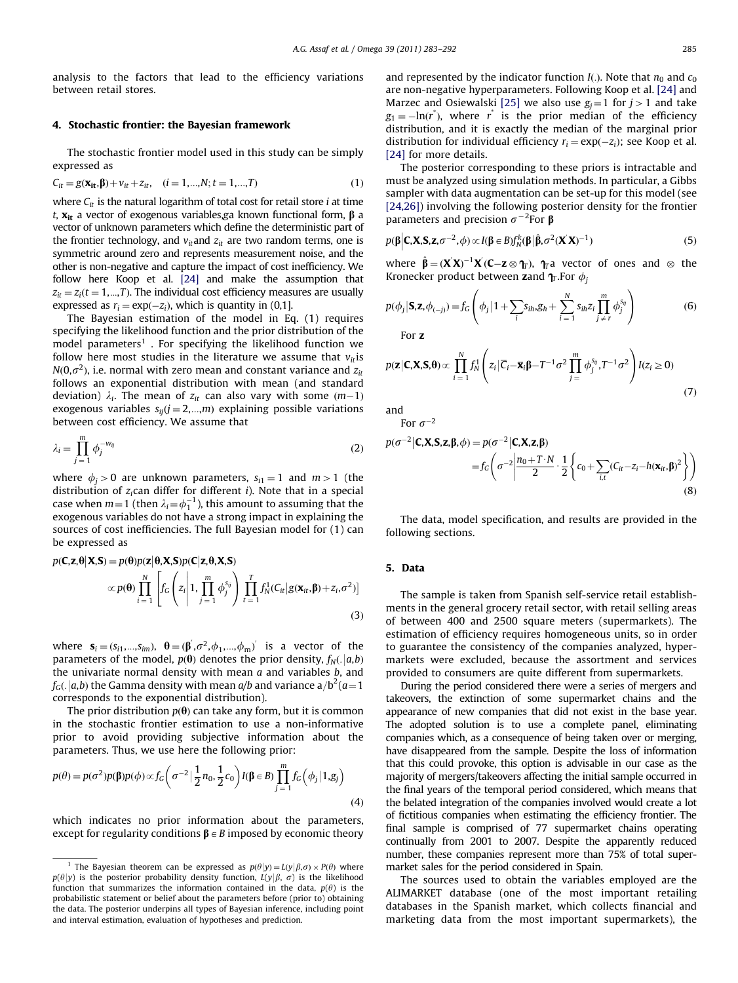analysis to the factors that lead to the efficiency variations between retail stores.

# 4. Stochastic frontier: the Bayesian framework

The stochastic frontier model used in this study can be simply expressed as

$$
C_{it} = g(\mathbf{x}_{it}, \beta) + v_{it} + z_{it}, \quad (i = 1, ..., N; t = 1, ..., T)
$$
(1)

where  $C_{it}$  is the natural logarithm of total cost for retail store *i* at time t,  $x_{it}$  a vector of exogenous variables,ga known functional form,  $\beta$  a vector of unknown parameters which define the deterministic part of the frontier technology, and  $v_{it}$  and  $z_{it}$  are two random terms, one is symmetric around zero and represents measurement noise, and the other is non-negative and capture the impact of cost inefficiency. We follow here Koop et al. [\[24\]](#page-8-0) and make the assumption that  $z_{it} = z_i(t = 1,...,T)$ . The individual cost efficiency measures are usually expressed as  $r_i = \exp(-z_i)$ , which is quantity in (0,1).

The Bayesian estimation of the model in Eq. (1) requires specifying the likelihood function and the prior distribution of the model parameters<sup>1</sup>. For specifying the likelihood function we follow here most studies in the literature we assume that  $v_{it}$  is  $N(0,\sigma^2)$ , i.e. normal with zero mean and constant variance and  $z_{it}$ follows an exponential distribution with mean (and standard deviation)  $\lambda_i$ . The mean of  $z_{it}$  can also vary with some  $(m-1)$ exogenous variables  $s_{ii}(j = 2,...,m)$  explaining possible variations between cost efficiency. We assume that

$$
\lambda_i = \prod_{j=1}^m \phi_j^{-w_{ij}} \tag{2}
$$

where  $\phi_j > 0$  are unknown parameters,  $s_{i1} = 1$  and  $m > 1$  (the distribution of  $z_i$ can differ for different i). Note that in a special case when  $m$  = 1 (then  $\lambda_i$  =  $\phi_1^{-1}$  ), this amount to assuming that the exogenous variables do not have a strong impact in explaining the sources of cost inefficiencies. The full Bayesian model for (1) can be expressed as

$$
p(\mathbf{C}, \mathbf{z}, \boldsymbol{\theta} | \mathbf{X}, \mathbf{S}) = p(\boldsymbol{\theta}) p(\mathbf{z} | \boldsymbol{\theta}, \mathbf{X}, \mathbf{S}) p(\mathbf{C} | \mathbf{z}, \boldsymbol{\theta}, \mathbf{X}, \mathbf{S})
$$
  
\n
$$
\propto p(\boldsymbol{\theta}) \prod_{i=1}^{N} \left[ f_G \left( z_i \middle| 1, \prod_{j=1}^{m} \phi_j^{s_{ij}} \right) \prod_{t=1}^{T} f_N^1(C_{it} | g(\mathbf{x}_{it}, \boldsymbol{\beta}) + z_i, \sigma^2) \right]
$$
\n(3)

where  $\mathbf{s}_i = (s_{i1},...,s_{im})$ ,  $\mathbf{\theta} = (\mathbf{\beta}^{'}, \sigma^2, \phi_1, ..., \phi_m)^{'}$  is a vector of the parameters of the model,  $p(\theta)$  denotes the prior density,  $f_N(.)a,b$ the univariate normal density with mean  $a$  and variables  $b$ , and  $f_G(.)|a,b)$  the Gamma density with mean  $a/b$  and variance  $a/b^2(a=1)$ corresponds to the exponential distribution).

The prior distribution  $p(\theta)$  can take any form, but it is common in the stochastic frontier estimation to use a non-informative prior to avoid providing subjective information about the parameters. Thus, we use here the following prior:

$$
p(\theta) = p(\sigma^2)p(\beta)p(\phi) \propto f_G\left(\sigma^{-2}|\frac{1}{2}n_0, \frac{1}{2}c_0\right)I(\beta \in B)\prod_{j=1}^m f_G\left(\phi_j|1, g_j\right)
$$
\n(4)

which indicates no prior information about the parameters, except for regularity conditions  $\beta \in B$  imposed by economic theory and represented by the indicator function  $I(.)$ . Note that  $n_0$  and  $c_0$ are non-negative hyperparameters. Following Koop et al. [\[24\]](#page-8-0) and Marzec and Osiewalski [\[25\]](#page-8-0) we also use  $g_i = 1$  for  $j > 1$  and take  $g_1 = -\ln(r^*)$ , where  $r^*$  is the prior median of the efficiency distribution, and it is exactly the median of the marginal prior distribution for individual efficiency  $r_i = \exp(-z_i)$ ; see Koop et al. [\[24\]](#page-8-0) for more details.

The posterior corresponding to these priors is intractable and must be analyzed using simulation methods. In particular, a Gibbs sampler with data augmentation can be set-up for this model (see [\[24,26\]\)](#page-8-0) involving the following posterior density for the frontier parameters and precision  $\sigma^{-2}$ For  $\beta$ 

$$
p(\boldsymbol{\beta} \Big| \mathbf{C}, \mathbf{X}, \mathbf{S}, \mathbf{Z}, \sigma^{-2}, \phi) \propto I(\boldsymbol{\beta} \in B) f_N^k(\boldsymbol{\beta} \Big| \hat{\boldsymbol{\beta}}, \sigma^2(\mathbf{X}'\mathbf{X})^{-1})
$$
(5)

where  $\hat{\beta} = (\mathbf{X}^{\prime} \mathbf{X})^{-1} \mathbf{X}^{\prime} (\mathbf{C} - \mathbf{z} \otimes \mathbf{\gamma}_{T}), \mathbf{\gamma}_{T}$  a vector of ones and  $\otimes$  the Kronecker product between **z**and  $\eta$ . For  $\phi_i$ 

$$
p(\phi_j | \mathbf{S}, \mathbf{z}, \phi_{(-j)}) = f_G \left( \phi_j | 1 + \sum_i s_{ih}, g_h + \sum_{i=1}^N s_{ih} z_i \prod_{j \neq r}^m \phi_j^{s_{ij}} \right)
$$
(6)

For z

$$
p(\mathbf{z}|\mathbf{C}, \mathbf{X}, \mathbf{S}, \boldsymbol{\theta}) \propto \prod_{i=1}^{N} f_N^1 \left( z_i | \overline{C}_i - \overline{\mathbf{x}}_i \boldsymbol{\beta} - T^{-1} \sigma^2 \prod_{j=1}^{m} \phi_j^{s_{ij}}, T^{-1} \sigma^2 \right) I(z_i \ge 0)
$$
\n(7)

and For  $\sigma^{-2}$ 

$$
p(\sigma^{-2}|\mathbf{C}, \mathbf{X}, \mathbf{S}, \mathbf{z}, \boldsymbol{\beta}, \phi) = p(\sigma^{-2}|\mathbf{C}, \mathbf{X}, \mathbf{z}, \boldsymbol{\beta})
$$
  
=  $f_c\left(\sigma^{-2} \left| \frac{n_0 + T \cdot N}{2} \cdot \frac{1}{2} \left\{ c_0 + \sum_{i,t} (C_{it} - z_i - h(\mathbf{x}_{it}, \boldsymbol{\beta})^2 \right\} \right\} \right)$  (8)

The data, model specification, and results are provided in the following sections.

### 5. Data

The sample is taken from Spanish self-service retail establishments in the general grocery retail sector, with retail selling areas of between 400 and 2500 square meters (supermarkets). The estimation of efficiency requires homogeneous units, so in order to guarantee the consistency of the companies analyzed, hypermarkets were excluded, because the assortment and services provided to consumers are quite different from supermarkets.

During the period considered there were a series of mergers and takeovers, the extinction of some supermarket chains and the appearance of new companies that did not exist in the base year. The adopted solution is to use a complete panel, eliminating companies which, as a consequence of being taken over or merging, have disappeared from the sample. Despite the loss of information that this could provoke, this option is advisable in our case as the majority of mergers/takeovers affecting the initial sample occurred in the final years of the temporal period considered, which means that the belated integration of the companies involved would create a lot of fictitious companies when estimating the efficiency frontier. The final sample is comprised of 77 supermarket chains operating continually from 2001 to 2007. Despite the apparently reduced number, these companies represent more than 75% of total supermarket sales for the period considered in Spain.

The sources used to obtain the variables employed are the ALIMARKET database (one of the most important retailing databases in the Spanish market, which collects financial and marketing data from the most important supermarkets), the

<sup>&</sup>lt;sup>1</sup> The Bayesian theorem can be expressed as  $p(\theta|y) = L(y|\beta,\sigma) \times P(\theta)$  where  $p(\theta|y)$  is the posterior probability density function,  $L(y|\beta, \sigma)$  is the likelihood function that summarizes the information contained in the data,  $p(\theta)$  is the probabilistic statement or belief about the parameters before (prior to) obtaining the data. The posterior underpins all types of Bayesian inference, including point and interval estimation, evaluation of hypotheses and prediction.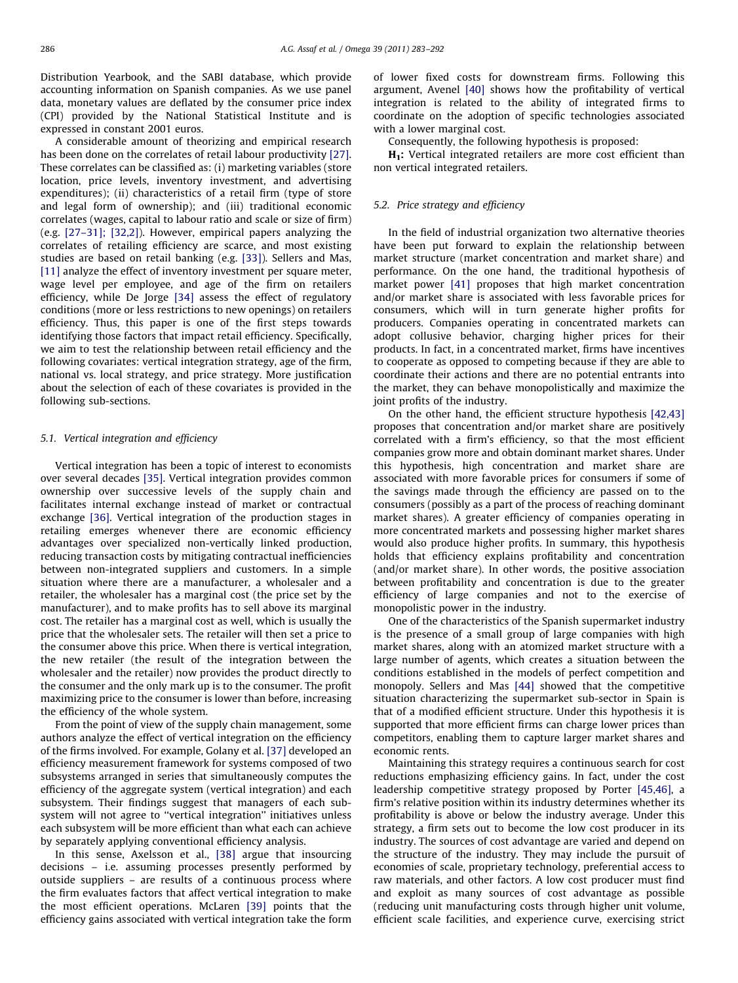Distribution Yearbook, and the SABI database, which provide accounting information on Spanish companies. As we use panel data, monetary values are deflated by the consumer price index (CPI) provided by the National Statistical Institute and is expressed in constant 2001 euros.

A considerable amount of theorizing and empirical research has been done on the correlates of retail labour productivity [\[27\].](#page-8-0) These correlates can be classified as: (i) marketing variables (store location, price levels, inventory investment, and advertising expenditures); (ii) characteristics of a retail firm (type of store and legal form of ownership); and (iii) traditional economic correlates (wages, capital to labour ratio and scale or size of firm) (e.g. [\[27–31\]; \[32,2\]\)](#page-8-0). However, empirical papers analyzing the correlates of retailing efficiency are scarce, and most existing studies are based on retail banking (e.g. [\[33\]](#page-8-0)). Sellers and Mas, [\[11\]](#page-8-0) analyze the effect of inventory investment per square meter, wage level per employee, and age of the firm on retailers efficiency, while De Jorge [\[34\]](#page-8-0) assess the effect of regulatory conditions (more or less restrictions to new openings) on retailers efficiency. Thus, this paper is one of the first steps towards identifying those factors that impact retail efficiency. Specifically, we aim to test the relationship between retail efficiency and the following covariates: vertical integration strategy, age of the firm, national vs. local strategy, and price strategy. More justification about the selection of each of these covariates is provided in the following sub-sections.

#### 5.1. Vertical integration and efficiency

Vertical integration has been a topic of interest to economists over several decades [\[35\].](#page-8-0) Vertical integration provides common ownership over successive levels of the supply chain and facilitates internal exchange instead of market or contractual exchange [\[36\]](#page-8-0). Vertical integration of the production stages in retailing emerges whenever there are economic efficiency advantages over specialized non-vertically linked production, reducing transaction costs by mitigating contractual inefficiencies between non-integrated suppliers and customers. In a simple situation where there are a manufacturer, a wholesaler and a retailer, the wholesaler has a marginal cost (the price set by the manufacturer), and to make profits has to sell above its marginal cost. The retailer has a marginal cost as well, which is usually the price that the wholesaler sets. The retailer will then set a price to the consumer above this price. When there is vertical integration, the new retailer (the result of the integration between the wholesaler and the retailer) now provides the product directly to the consumer and the only mark up is to the consumer. The profit maximizing price to the consumer is lower than before, increasing the efficiency of the whole system.

From the point of view of the supply chain management, some authors analyze the effect of vertical integration on the efficiency of the firms involved. For example, Golany et al. [\[37\]](#page-8-0) developed an efficiency measurement framework for systems composed of two subsystems arranged in series that simultaneously computes the efficiency of the aggregate system (vertical integration) and each subsystem. Their findings suggest that managers of each subsystem will not agree to ''vertical integration'' initiatives unless each subsystem will be more efficient than what each can achieve by separately applying conventional efficiency analysis.

In this sense, Axelsson et al., [\[38\]](#page-8-0) argue that insourcing decisions – i.e. assuming processes presently performed by outside suppliers – are results of a continuous process where the firm evaluates factors that affect vertical integration to make the most efficient operations. McLaren [\[39\]](#page-9-0) points that the efficiency gains associated with vertical integration take the form of lower fixed costs for downstream firms. Following this argument, Avenel [\[40\]](#page-9-0) shows how the profitability of vertical integration is related to the ability of integrated firms to coordinate on the adoption of specific technologies associated with a lower marginal cost.

Consequently, the following hypothesis is proposed:

H<sub>1</sub>: Vertical integrated retailers are more cost efficient than non vertical integrated retailers.

#### 5.2. Price strategy and efficiency

In the field of industrial organization two alternative theories have been put forward to explain the relationship between market structure (market concentration and market share) and performance. On the one hand, the traditional hypothesis of market power [\[41\]](#page-9-0) proposes that high market concentration and/or market share is associated with less favorable prices for consumers, which will in turn generate higher profits for producers. Companies operating in concentrated markets can adopt collusive behavior, charging higher prices for their products. In fact, in a concentrated market, firms have incentives to cooperate as opposed to competing because if they are able to coordinate their actions and there are no potential entrants into the market, they can behave monopolistically and maximize the joint profits of the industry.

On the other hand, the efficient structure hypothesis [\[42,43\]](#page-9-0) proposes that concentration and/or market share are positively correlated with a firm's efficiency, so that the most efficient companies grow more and obtain dominant market shares. Under this hypothesis, high concentration and market share are associated with more favorable prices for consumers if some of the savings made through the efficiency are passed on to the consumers (possibly as a part of the process of reaching dominant market shares). A greater efficiency of companies operating in more concentrated markets and possessing higher market shares would also produce higher profits. In summary, this hypothesis holds that efficiency explains profitability and concentration (and/or market share). In other words, the positive association between profitability and concentration is due to the greater efficiency of large companies and not to the exercise of monopolistic power in the industry.

One of the characteristics of the Spanish supermarket industry is the presence of a small group of large companies with high market shares, along with an atomized market structure with a large number of agents, which creates a situation between the conditions established in the models of perfect competition and monopoly. Sellers and Mas [\[44\]](#page-9-0) showed that the competitive situation characterizing the supermarket sub-sector in Spain is that of a modified efficient structure. Under this hypothesis it is supported that more efficient firms can charge lower prices than competitors, enabling them to capture larger market shares and economic rents.

Maintaining this strategy requires a continuous search for cost reductions emphasizing efficiency gains. In fact, under the cost leadership competitive strategy proposed by Porter [\[45,46\],](#page-9-0) a firm's relative position within its industry determines whether its profitability is above or below the industry average. Under this strategy, a firm sets out to become the low cost producer in its industry. The sources of cost advantage are varied and depend on the structure of the industry. They may include the pursuit of economies of scale, proprietary technology, preferential access to raw materials, and other factors. A low cost producer must find and exploit as many sources of cost advantage as possible (reducing unit manufacturing costs through higher unit volume, efficient scale facilities, and experience curve, exercising strict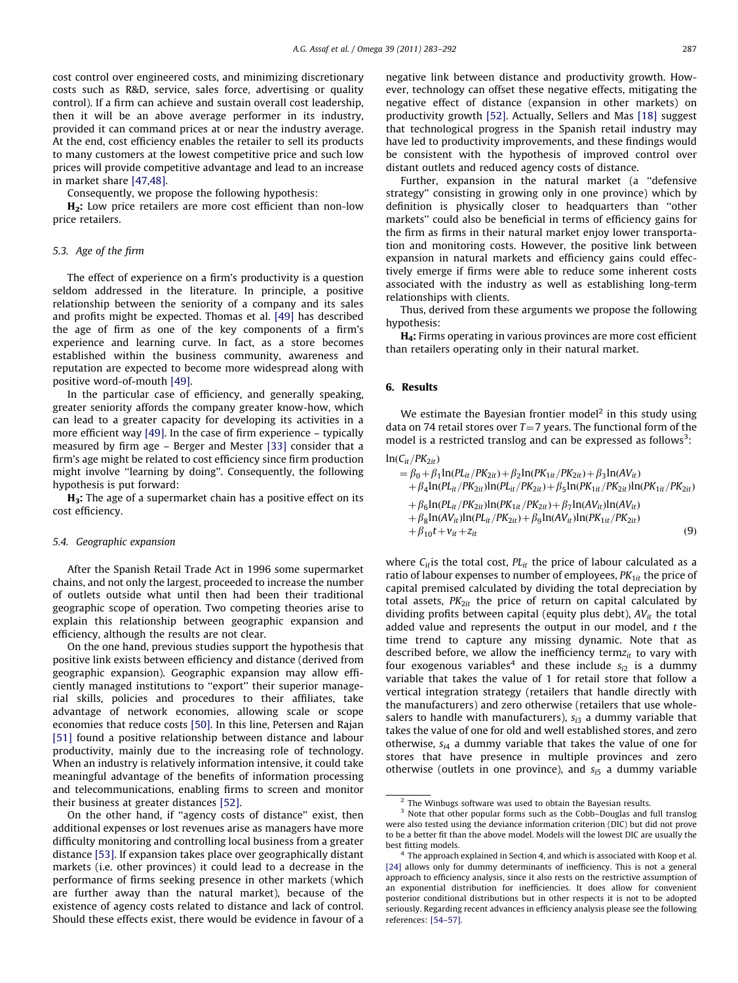cost control over engineered costs, and minimizing discretionary costs such as R&D, service, sales force, advertising or quality control). If a firm can achieve and sustain overall cost leadership, then it will be an above average performer in its industry, provided it can command prices at or near the industry average. At the end, cost efficiency enables the retailer to sell its products to many customers at the lowest competitive price and such low prices will provide competitive advantage and lead to an increase in market share [\[47,48\].](#page-9-0)

Consequently, we propose the following hypothesis:

H<sub>2</sub>: Low price retailers are more cost efficient than non-low price retailers.

#### 5.3. Age of the firm

The effect of experience on a firm's productivity is a question seldom addressed in the literature. In principle, a positive relationship between the seniority of a company and its sales and profits might be expected. Thomas et al. [\[49\]](#page-9-0) has described the age of firm as one of the key components of a firm's experience and learning curve. In fact, as a store becomes established within the business community, awareness and reputation are expected to become more widespread along with positive word-of-mouth [\[49\]](#page-9-0).

In the particular case of efficiency, and generally speaking, greater seniority affords the company greater know-how, which can lead to a greater capacity for developing its activities in a more efficient way [\[49\].](#page-9-0) In the case of firm experience – typically measured by firm age – Berger and Mester [\[33\]](#page-8-0) consider that a firm's age might be related to cost efficiency since firm production might involve ''learning by doing''. Consequently, the following hypothesis is put forward:

H<sub>3</sub>: The age of a supermarket chain has a positive effect on its cost efficiency.

#### 5.4. Geographic expansion

After the Spanish Retail Trade Act in 1996 some supermarket chains, and not only the largest, proceeded to increase the number of outlets outside what until then had been their traditional geographic scope of operation. Two competing theories arise to explain this relationship between geographic expansion and efficiency, although the results are not clear.

On the one hand, previous studies support the hypothesis that positive link exists between efficiency and distance (derived from geographic expansion). Geographic expansion may allow efficiently managed institutions to ''export'' their superior managerial skills, policies and procedures to their affiliates, take advantage of network economies, allowing scale or scope economies that reduce costs [\[50\].](#page-9-0) In this line, Petersen and Rajan [\[51\]](#page-9-0) found a positive relationship between distance and labour productivity, mainly due to the increasing role of technology. When an industry is relatively information intensive, it could take meaningful advantage of the benefits of information processing and telecommunications, enabling firms to screen and monitor their business at greater distances [\[52\]](#page-9-0).

On the other hand, if ''agency costs of distance'' exist, then additional expenses or lost revenues arise as managers have more difficulty monitoring and controlling local business from a greater distance [\[53\]](#page-9-0). If expansion takes place over geographically distant markets (i.e. other provinces) it could lead to a decrease in the performance of firms seeking presence in other markets (which are further away than the natural market), because of the existence of agency costs related to distance and lack of control. Should these effects exist, there would be evidence in favour of a negative link between distance and productivity growth. However, technology can offset these negative effects, mitigating the negative effect of distance (expansion in other markets) on productivity growth [\[52\]](#page-9-0). Actually, Sellers and Mas [\[18\]](#page-8-0) suggest that technological progress in the Spanish retail industry may have led to productivity improvements, and these findings would be consistent with the hypothesis of improved control over distant outlets and reduced agency costs of distance.

Further, expansion in the natural market (a "defensive strategy'' consisting in growing only in one province) which by definition is physically closer to headquarters than ''other markets'' could also be beneficial in terms of efficiency gains for the firm as firms in their natural market enjoy lower transportation and monitoring costs. However, the positive link between expansion in natural markets and efficiency gains could effectively emerge if firms were able to reduce some inherent costs associated with the industry as well as establishing long-term relationships with clients.

Thus, derived from these arguments we propose the following hypothesis:

H4: Firms operating in various provinces are more cost efficient than retailers operating only in their natural market.

#### 6. Results

We estimate the Bayesian frontier model<sup>2</sup> in this study using data on 74 retail stores over  $T=7$  years. The functional form of the model is a restricted translog and can be expressed as follows<sup>3</sup>:

$$
ln(C_{it}/PK_{2it})
$$
\n
$$
= \beta_0 + \beta_1 ln(PL_{it}/PK_{2it}) + \beta_2 ln(PK_{1it}/PK_{2it}) + \beta_3 ln(AV_{it})
$$
\n
$$
+ \beta_4 ln(PL_{it}/PK_{2it}) ln(PL_{it}/PK_{2it}) + \beta_5 ln(PK_{1it}/PK_{2it}) ln(PK_{1it}/PK_{2it})
$$
\n
$$
+ \beta_6 ln(PL_{it}/PK_{2it}) ln(PK_{1it}/PK_{2it}) + \beta_7 ln(AV_{it}) ln(AV_{it})
$$
\n
$$
+ \beta_8 ln(AV_{it}) ln(PL_{it}/PK_{2it}) + \beta_9 ln(AV_{it}) ln(PK_{1it}/PK_{2it})
$$
\n
$$
+ \beta_1 o t + v_{it} + z_{it}
$$
\n(9)

where  $C_{it}$  is the total cost,  $PL_{it}$  the price of labour calculated as a ratio of labour expenses to number of employees,  $PK_{1it}$  the price of capital premised calculated by dividing the total depreciation by total assets,  $PK<sub>2it</sub>$  the price of return on capital calculated by dividing profits between capital (equity plus debt),  $AV_{it}$  the total added value and represents the output in our model, and  $t$  the time trend to capture any missing dynamic. Note that as described before, we allow the inefficiency term $z_{it}$  to vary with four exogenous variables<sup>4</sup> and these include  $s_{i2}$  is a dummy variable that takes the value of 1 for retail store that follow a vertical integration strategy (retailers that handle directly with the manufacturers) and zero otherwise (retailers that use wholesalers to handle with manufacturers),  $s_{i3}$  a dummy variable that takes the value of one for old and well established stores, and zero otherwise,  $s_{i4}$  a dummy variable that takes the value of one for stores that have presence in multiple provinces and zero otherwise (outlets in one province), and  $s_{i5}$  a dummy variable

<sup>&</sup>lt;sup>2</sup> The Winbugs software was used to obtain the Bayesian results.

<sup>&</sup>lt;sup>3</sup> Note that other popular forms such as the Cobb-Douglas and full translog were also tested using the deviance information criterion (DIC) but did not prove to be a better fit than the above model. Models will the lowest DIC are usually the best fitting models.

<sup>&</sup>lt;sup>4</sup> The approach explained in Section 4, and which is associated with Koop et al. [\[24\]](#page-8-0) allows only for dummy determinants of inefficiency. This is not a general approach to efficiency analysis, since it also rests on the restrictive assumption of an exponential distribution for inefficiencies. It does allow for convenient posterior conditional distributions but in other respects it is not to be adopted seriously. Regarding recent advances in efficiency analysis please see the following references: [\[54–57\].](#page-9-0)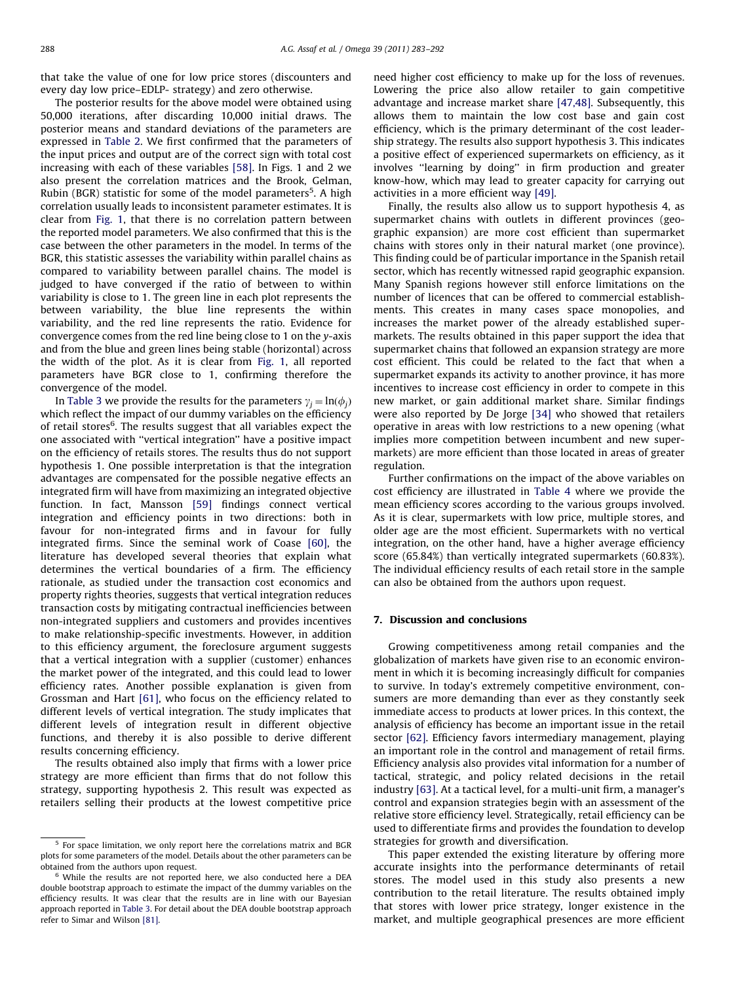that take the value of one for low price stores (discounters and every day low price–EDLP- strategy) and zero otherwise.

The posterior results for the above model were obtained using 50,000 iterations, after discarding 10,000 initial draws. The posterior means and standard deviations of the parameters are expressed in [Table 2](#page-7-0). We first confirmed that the parameters of the input prices and output are of the correct sign with total cost increasing with each of these variables [\[58\].](#page-9-0) In Figs. 1 and 2 we also present the correlation matrices and the Brook, Gelman, Rubin (BGR) statistic for some of the model parameters<sup>5</sup>. A high correlation usually leads to inconsistent parameter estimates. It is clear from [Fig. 1,](#page-7-0) that there is no correlation pattern between the reported model parameters. We also confirmed that this is the case between the other parameters in the model. In terms of the BGR, this statistic assesses the variability within parallel chains as compared to variability between parallel chains. The model is judged to have converged if the ratio of between to within variability is close to 1. The green line in each plot represents the between variability, the blue line represents the within variability, and the red line represents the ratio. Evidence for convergence comes from the red line being close to 1 on the y-axis and from the blue and green lines being stable (horizontal) across the width of the plot. As it is clear from [Fig. 1,](#page-7-0) all reported parameters have BGR close to 1, confirming therefore the convergence of the model.

In [Table 3](#page-7-0) we provide the results for the parameters  $\gamma_i = \ln(\phi_i)$ which reflect the impact of our dummy variables on the efficiency of retail stores<sup>6</sup>. The results suggest that all variables expect the one associated with ''vertical integration'' have a positive impact on the efficiency of retails stores. The results thus do not support hypothesis 1. One possible interpretation is that the integration advantages are compensated for the possible negative effects an integrated firm will have from maximizing an integrated objective function. In fact, Mansson [\[59\]](#page-9-0) findings connect vertical integration and efficiency points in two directions: both in favour for non-integrated firms and in favour for fully integrated firms. Since the seminal work of Coase [\[60\]](#page-9-0), the literature has developed several theories that explain what determines the vertical boundaries of a firm. The efficiency rationale, as studied under the transaction cost economics and property rights theories, suggests that vertical integration reduces transaction costs by mitigating contractual inefficiencies between non-integrated suppliers and customers and provides incentives to make relationship-specific investments. However, in addition to this efficiency argument, the foreclosure argument suggests that a vertical integration with a supplier (customer) enhances the market power of the integrated, and this could lead to lower efficiency rates. Another possible explanation is given from Grossman and Hart [\[61\]](#page-9-0), who focus on the efficiency related to different levels of vertical integration. The study implicates that different levels of integration result in different objective functions, and thereby it is also possible to derive different results concerning efficiency.

The results obtained also imply that firms with a lower price strategy are more efficient than firms that do not follow this strategy, supporting hypothesis 2. This result was expected as retailers selling their products at the lowest competitive price need higher cost efficiency to make up for the loss of revenues. Lowering the price also allow retailer to gain competitive advantage and increase market share [\[47,48\]](#page-9-0). Subsequently, this allows them to maintain the low cost base and gain cost efficiency, which is the primary determinant of the cost leadership strategy. The results also support hypothesis 3. This indicates a positive effect of experienced supermarkets on efficiency, as it involves ''learning by doing'' in firm production and greater know-how, which may lead to greater capacity for carrying out activities in a more efficient way [\[49\]](#page-9-0).

Finally, the results also allow us to support hypothesis 4, as supermarket chains with outlets in different provinces (geographic expansion) are more cost efficient than supermarket chains with stores only in their natural market (one province). This finding could be of particular importance in the Spanish retail sector, which has recently witnessed rapid geographic expansion. Many Spanish regions however still enforce limitations on the number of licences that can be offered to commercial establishments. This creates in many cases space monopolies, and increases the market power of the already established supermarkets. The results obtained in this paper support the idea that supermarket chains that followed an expansion strategy are more cost efficient. This could be related to the fact that when a supermarket expands its activity to another province, it has more incentives to increase cost efficiency in order to compete in this new market, or gain additional market share. Similar findings were also reported by De Jorge [\[34\]](#page-8-0) who showed that retailers operative in areas with low restrictions to a new opening (what implies more competition between incumbent and new supermarkets) are more efficient than those located in areas of greater regulation.

Further confirmations on the impact of the above variables on cost efficiency are illustrated in [Table 4](#page-8-0) where we provide the mean efficiency scores according to the various groups involved. As it is clear, supermarkets with low price, multiple stores, and older age are the most efficient. Supermarkets with no vertical integration, on the other hand, have a higher average efficiency score (65.84%) than vertically integrated supermarkets (60.83%). The individual efficiency results of each retail store in the sample can also be obtained from the authors upon request.

# 7. Discussion and conclusions

Growing competitiveness among retail companies and the globalization of markets have given rise to an economic environment in which it is becoming increasingly difficult for companies to survive. In today's extremely competitive environment, consumers are more demanding than ever as they constantly seek immediate access to products at lower prices. In this context, the analysis of efficiency has become an important issue in the retail sector [\[62\].](#page-9-0) Efficiency favors intermediary management, playing an important role in the control and management of retail firms. Efficiency analysis also provides vital information for a number of tactical, strategic, and policy related decisions in the retail industry [\[63\].](#page-9-0) At a tactical level, for a multi-unit firm, a manager's control and expansion strategies begin with an assessment of the relative store efficiency level. Strategically, retail efficiency can be used to differentiate firms and provides the foundation to develop strategies for growth and diversification.

This paper extended the existing literature by offering more accurate insights into the performance determinants of retail stores. The model used in this study also presents a new contribution to the retail literature. The results obtained imply that stores with lower price strategy, longer existence in the market, and multiple geographical presences are more efficient

<sup>5</sup> For space limitation, we only report here the correlations matrix and BGR plots for some parameters of the model. Details about the other parameters can be obtained from the authors upon request.

<sup>6</sup> While the results are not reported here, we also conducted here a DEA double bootstrap approach to estimate the impact of the dummy variables on the efficiency results. It was clear that the results are in line with our Bayesian approach reported in [Table 3](#page-7-0). For detail about the DEA double bootstrap approach refer to Simar and Wilson [\[81\].](#page-9-0)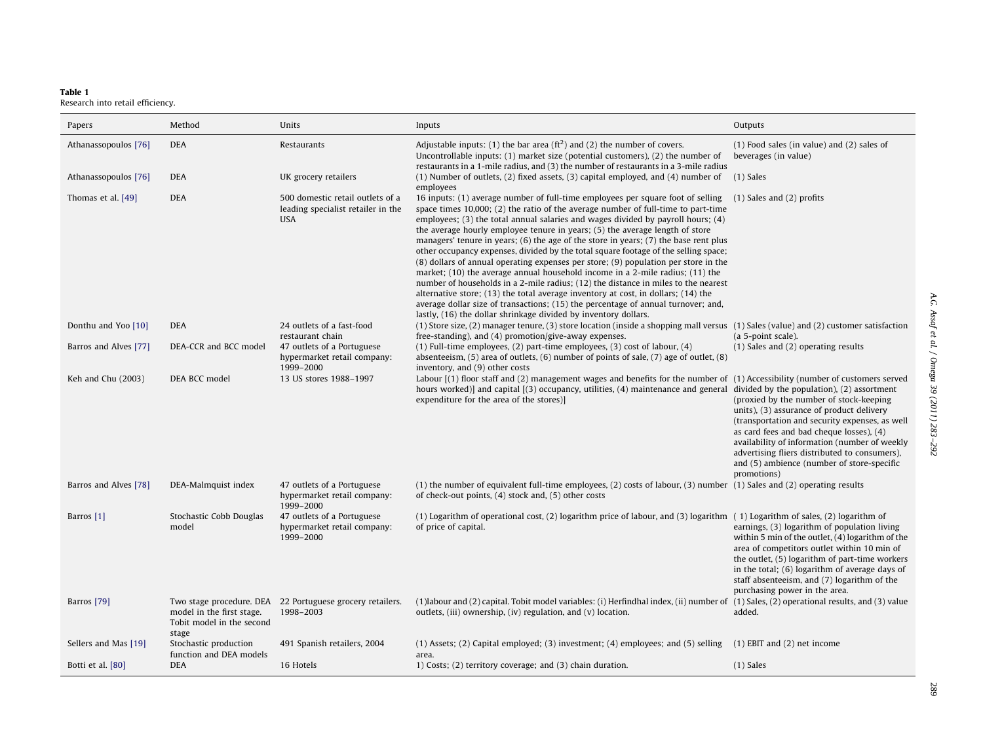#### <span id="page-6-0"></span>Table 1

Research into retail efficiency.

| Papers                | Method                                                          | Units                                                                                | Inputs                                                                                                                                                                                                                                                                                                                                                                                                                                                                                                                                                                                                                                                                                                                                                                                                                                                                                                                                                                                                                                              | Outputs                                                                                                                                                                                                                                                                                                                                                                                           |
|-----------------------|-----------------------------------------------------------------|--------------------------------------------------------------------------------------|-----------------------------------------------------------------------------------------------------------------------------------------------------------------------------------------------------------------------------------------------------------------------------------------------------------------------------------------------------------------------------------------------------------------------------------------------------------------------------------------------------------------------------------------------------------------------------------------------------------------------------------------------------------------------------------------------------------------------------------------------------------------------------------------------------------------------------------------------------------------------------------------------------------------------------------------------------------------------------------------------------------------------------------------------------|---------------------------------------------------------------------------------------------------------------------------------------------------------------------------------------------------------------------------------------------------------------------------------------------------------------------------------------------------------------------------------------------------|
| Athanassopoulos [76]  | <b>DEA</b>                                                      | Restaurants                                                                          | Adjustable inputs: (1) the bar area ( $ft2$ ) and (2) the number of covers.<br>Uncontrollable inputs: $(1)$ market size (potential customers), $(2)$ the number of<br>restaurants in a 1-mile radius, and (3) the number of restaurants in a 3-mile radius                                                                                                                                                                                                                                                                                                                                                                                                                                                                                                                                                                                                                                                                                                                                                                                          | $(1)$ Food sales (in value) and $(2)$ sales of<br>beverages (in value)                                                                                                                                                                                                                                                                                                                            |
| Athanassopoulos [76]  | DEA                                                             | UK grocery retailers                                                                 | $(1)$ Number of outlets, $(2)$ fixed assets, $(3)$ capital employed, and $(4)$ number of $(1)$ Sales<br>employees                                                                                                                                                                                                                                                                                                                                                                                                                                                                                                                                                                                                                                                                                                                                                                                                                                                                                                                                   |                                                                                                                                                                                                                                                                                                                                                                                                   |
| Thomas et al. [49]    | DEA                                                             | 500 domestic retail outlets of a<br>leading specialist retailer in the<br><b>USA</b> | 16 inputs: (1) average number of full-time employees per square foot of selling<br>space times $10,000$ ; $(2)$ the ratio of the average number of full-time to part-time<br>employees; $(3)$ the total annual salaries and wages divided by payroll hours; $(4)$<br>the average hourly employee tenure in years; (5) the average length of store<br>managers' tenure in years; (6) the age of the store in years; (7) the base rent plus<br>other occupancy expenses, divided by the total square footage of the selling space;<br>(8) dollars of annual operating expenses per store; (9) population per store in the<br>market; $(10)$ the average annual household income in a 2-mile radius; $(11)$ the<br>number of households in a 2-mile radius; (12) the distance in miles to the nearest<br>alternative store; $(13)$ the total average inventory at cost, in dollars; $(14)$ the<br>average dollar size of transactions; (15) the percentage of annual turnover; and,<br>lastly, (16) the dollar shrinkage divided by inventory dollars. | $(1)$ Sales and $(2)$ profits                                                                                                                                                                                                                                                                                                                                                                     |
| Donthu and Yoo [10]   | DEA                                                             | 24 outlets of a fast-food<br>restaurant chain                                        | (1) Store size, (2) manager tenure, (3) store location (inside a shopping mall versus (1) Sales (value) and (2) customer satisfaction<br>free-standing), and (4) promotion/give-away expenses.                                                                                                                                                                                                                                                                                                                                                                                                                                                                                                                                                                                                                                                                                                                                                                                                                                                      | (a 5-point scale).                                                                                                                                                                                                                                                                                                                                                                                |
| Barros and Alves [77] | DEA-CCR and BCC model                                           | 47 outlets of a Portuguese<br>hypermarket retail company:<br>1999-2000               | $(1)$ Full-time employees, $(2)$ part-time employees, $(3)$ cost of labour, $(4)$<br>absenteeism, $(5)$ area of outlets, $(6)$ number of points of sale, $(7)$ age of outlet, $(8)$<br>inventory, and (9) other costs                                                                                                                                                                                                                                                                                                                                                                                                                                                                                                                                                                                                                                                                                                                                                                                                                               | (1) Sales and (2) operating results                                                                                                                                                                                                                                                                                                                                                               |
| Keh and Chu (2003)    | DEA BCC model                                                   | 13 US stores 1988-1997                                                               | Labour [(1) floor staff and (2) management wages and benefits for the number of (1) Accessibility (number of customers served<br>hours worked)] and capital [(3) occupancy, utilities, (4) maintenance and general<br>expenditure for the area of the stores)]                                                                                                                                                                                                                                                                                                                                                                                                                                                                                                                                                                                                                                                                                                                                                                                      | divided by the population), (2) assortment<br>(proxied by the number of stock-keeping<br>units), (3) assurance of product delivery<br>(transportation and security expenses, as well<br>as card fees and bad cheque losses), $(4)$<br>availability of information (number of weekly<br>advertising fliers distributed to consumers),<br>and (5) ambience (number of store-specific<br>promotions) |
| Barros and Alves [78] | DEA-Malmquist index                                             | 47 outlets of a Portuguese<br>hypermarket retail company:<br>1999-2000               | $(1)$ the number of equivalent full-time employees, $(2)$ costs of labour, $(3)$ number $(1)$ Sales and $(2)$ operating results<br>of check-out points, (4) stock and, (5) other costs                                                                                                                                                                                                                                                                                                                                                                                                                                                                                                                                                                                                                                                                                                                                                                                                                                                              |                                                                                                                                                                                                                                                                                                                                                                                                   |
| Barros [1]            | Stochastic Cobb Douglas<br>model                                | 47 outlets of a Portuguese<br>hypermarket retail company:<br>1999-2000               | (1) Logarithm of operational cost, (2) logarithm price of labour, and (3) logarithm (1) Logarithm of sales, (2) logarithm of<br>of price of capital.                                                                                                                                                                                                                                                                                                                                                                                                                                                                                                                                                                                                                                                                                                                                                                                                                                                                                                | earnings, (3) logarithm of population living<br>within 5 min of the outlet, $(4)$ logarithm of the<br>area of competitors outlet within 10 min of<br>the outlet, (5) logarithm of part-time workers<br>in the total; (6) logarithm of average days of<br>staff absenteeism, and (7) logarithm of the<br>purchasing power in the area.                                                             |
| Barros [79]           | model in the first stage.<br>Tobit model in the second<br>stage | Two stage procedure. DEA 22 Portuguese grocery retailers.<br>1998-2003               | $(1)$ labour and $(2)$ capital. Tobit model variables: $(i)$ Herfindhal index, $(ii)$ number of $(1)$ Sales, $(2)$ operational results, and $(3)$ value<br>outlets, (iii) ownership, (iv) regulation, and (v) location.                                                                                                                                                                                                                                                                                                                                                                                                                                                                                                                                                                                                                                                                                                                                                                                                                             | added.                                                                                                                                                                                                                                                                                                                                                                                            |
| Sellers and Mas [19]  | Stochastic production<br>function and DEA models                | 491 Spanish retailers, 2004                                                          | $(1)$ Assets; $(2)$ Capital employed; $(3)$ investment; $(4)$ employees; and $(5)$ selling<br>area.                                                                                                                                                                                                                                                                                                                                                                                                                                                                                                                                                                                                                                                                                                                                                                                                                                                                                                                                                 | $(1)$ EBIT and $(2)$ net income                                                                                                                                                                                                                                                                                                                                                                   |
| Botti et al. $[80]$   | <b>DEA</b>                                                      | 16 Hotels                                                                            | 1) Costs; (2) territory coverage; and (3) chain duration.                                                                                                                                                                                                                                                                                                                                                                                                                                                                                                                                                                                                                                                                                                                                                                                                                                                                                                                                                                                           | $(1)$ Sales                                                                                                                                                                                                                                                                                                                                                                                       |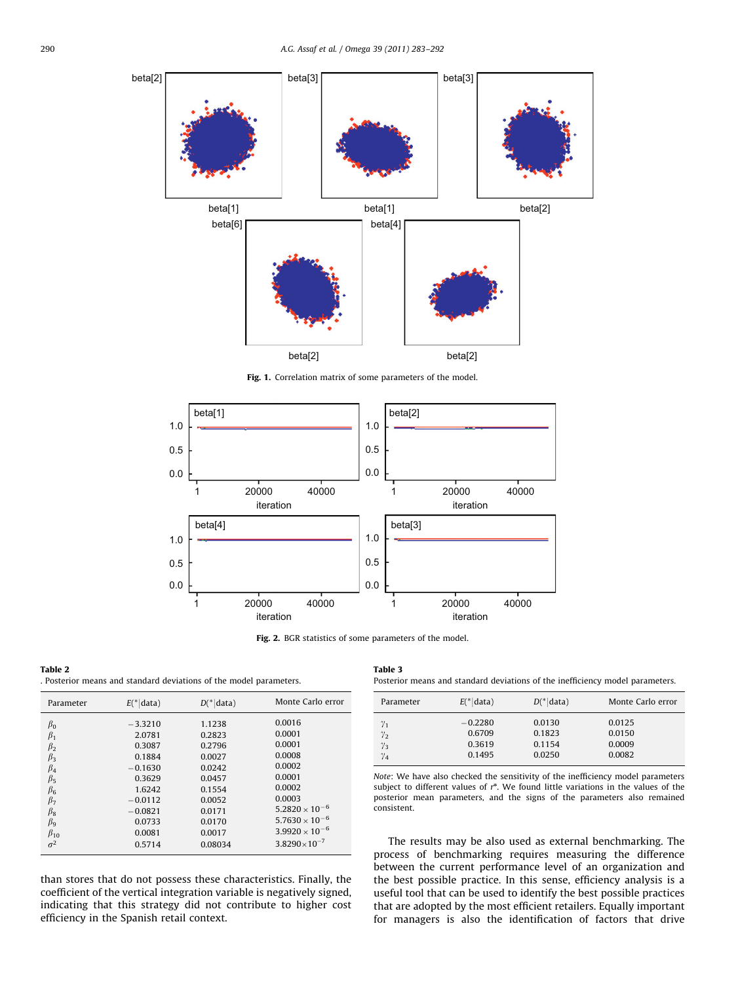<span id="page-7-0"></span>

Fig. 1. Correlation matrix of some parameters of the model.



Fig. 2. BGR statistics of some parameters of the model.

Table 2 . Posterior means and standard deviations of the model parameters.

| Parameter    | $E(* data)$ | $D(* data)$ | Monte Carlo error       |
|--------------|-------------|-------------|-------------------------|
| $\beta_0$    | $-3.3210$   | 1.1238      | 0.0016                  |
| $\beta_1$    | 2.0781      | 0.2823      | 0.0001                  |
| $\beta_2$    | 0.3087      | 0.2796      | 0.0001                  |
| $\beta_3$    | 0.1884      | 0.0027      | 0.0008                  |
| $\beta_4$    | $-0.1630$   | 0.0242      | 0.0002                  |
| $\beta_5$    | 0.3629      | 0.0457      | 0.0001                  |
| $\beta_6$    | 1.6242      | 0.1554      | 0.0002                  |
| $\beta_7$    | $-0.0112$   | 0.0052      | 0.0003                  |
| $\beta_8$    | $-0.0821$   | 0.0171      | $5.2820 \times 10^{-6}$ |
| $\beta_{9}$  | 0.0733      | 0.0170      | $5.7630 \times 10^{-6}$ |
| $\beta_{10}$ | 0.0081      | 0.0017      | $3.9920 \times 10^{-6}$ |
| $\sigma^2$   | 0.5714      | 0.08034     | $3.8290\times10^{-7}$   |

than stores that do not possess these characteristics. Finally, the coefficient of the vertical integration variable is negatively signed, indicating that this strategy did not contribute to higher cost efficiency in the Spanish retail context.

| Table 3                                                                       |  |  |  |
|-------------------------------------------------------------------------------|--|--|--|
| Posterior means and standard deviations of the inefficiency model parameters. |  |  |  |

| Parameter    | $E(* data)$ | $D(* data)$ | Monte Carlo error |
|--------------|-------------|-------------|-------------------|
| $\gamma_{1}$ | $-0.2280$   | 0.0130      | 0.0125            |
| $\gamma_{2}$ | 0.6709      | 0.1823      | 0.0150            |
| $\gamma_3$   | 0.3619      | 0.1154      | 0.0009            |
| $\gamma_4$   | 0.1495      | 0.0250      | 0.0082            |

Note: We have also checked the sensitivity of the inefficiency model parameters subject to different values of  $r^*$ . We found little variations in the values of the posterior mean parameters, and the signs of the parameters also remained consistent.

The results may be also used as external benchmarking. The process of benchmarking requires measuring the difference between the current performance level of an organization and the best possible practice. In this sense, efficiency analysis is a useful tool that can be used to identify the best possible practices that are adopted by the most efficient retailers. Equally important for managers is also the identification of factors that drive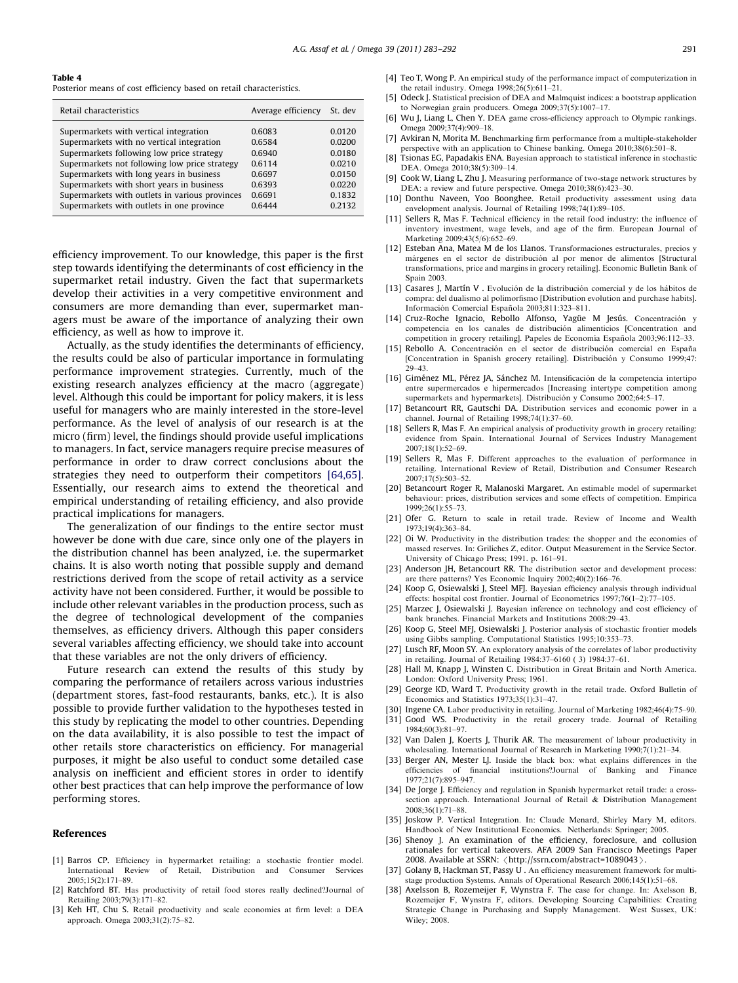#### <span id="page-8-0"></span>Table 4

Posterior means of cost efficiency based on retail characteristics.

| Retail characteristics                         | Average efficiency | St. dev |
|------------------------------------------------|--------------------|---------|
| Supermarkets with vertical integration         | 0.6083             | 0.0120  |
| Supermarkets with no vertical integration      | 0.6584             | 0.0200  |
| Supermarkets following low price strategy      | 0.6940             | 0.0180  |
| Supermarkets not following low price strategy  | 0.6114             | 0.0210  |
| Supermarkets with long years in business       | 0.6697             | 0.0150  |
| Supermarkets with short years in business      | 0.6393             | 0.0220  |
| Supermarkets with outlets in various provinces | 0.6691             | 0.1832  |
| Supermarkets with outlets in one province      | 0.6444             | 0.2132  |

efficiency improvement. To our knowledge, this paper is the first step towards identifying the determinants of cost efficiency in the supermarket retail industry. Given the fact that supermarkets develop their activities in a very competitive environment and consumers are more demanding than ever, supermarket managers must be aware of the importance of analyzing their own efficiency, as well as how to improve it.

Actually, as the study identifies the determinants of efficiency, the results could be also of particular importance in formulating performance improvement strategies. Currently, much of the existing research analyzes efficiency at the macro (aggregate) level. Although this could be important for policy makers, it is less useful for managers who are mainly interested in the store-level performance. As the level of analysis of our research is at the micro (firm) level, the findings should provide useful implications to managers. In fact, service managers require precise measures of performance in order to draw correct conclusions about the strategies they need to outperform their competitors [\[64,65\].](#page-9-0) Essentially, our research aims to extend the theoretical and empirical understanding of retailing efficiency, and also provide practical implications for managers.

The generalization of our findings to the entire sector must however be done with due care, since only one of the players in the distribution channel has been analyzed, i.e. the supermarket chains. It is also worth noting that possible supply and demand restrictions derived from the scope of retail activity as a service activity have not been considered. Further, it would be possible to include other relevant variables in the production process, such as the degree of technological development of the companies themselves, as efficiency drivers. Although this paper considers several variables affecting efficiency, we should take into account that these variables are not the only drivers of efficiency.

Future research can extend the results of this study by comparing the performance of retailers across various industries (department stores, fast-food restaurants, banks, etc.). It is also possible to provide further validation to the hypotheses tested in this study by replicating the model to other countries. Depending on the data availability, it is also possible to test the impact of other retails store characteristics on efficiency. For managerial purposes, it might be also useful to conduct some detailed case analysis on inefficient and efficient stores in order to identify other best practices that can help improve the performance of low performing stores.

#### References

- [1] Barros CP. Efficiency in hypermarket retailing: a stochastic frontier model. International Review of Retail, Distribution and Consumer Services 2005;15(2):171–89.
- [2] Ratchford BT. Has productivity of retail food stores really declined?Journal of Retailing 2003;79(3):171–82.
- [3] Keh HT, Chu S. Retail productivity and scale economies at firm level: a DEA approach. Omega 2003;31(2):75–82.
- [4] Teo T, Wong P. An empirical study of the performance impact of computerization in the retail industry. Omega 1998;26(5):611–21.
- [5] Odeck J. Statistical precision of DEA and Malmquist indices: a bootstrap application to Norwegian grain producers. Omega 2009;37(5):1007–17.
- [6] Wu J, Liang L, Chen Y. DEA game cross-efficiency approach to Olympic rankings. Omega 2009;37(4):909–18.
- [7] Avkiran N, Morita M. Benchmarking firm performance from a multiple-stakeholder perspective with an application to Chinese banking. Omega 2010;38(6):501–8.
- [8] Tsionas EG, Papadakis ENA. Bayesian approach to statistical inference in stochastic DEA. Omega 2010;38(5):309–14.
- [9] Cook W, Liang L, Zhu J. Measuring performance of two-stage network structures by DEA: a review and future perspective. Omega 2010;38(6):423–30.
- [10] Donthu Naveen, Yoo Boonghee. Retail productivity assessment using data envelopment analysis. Journal of Retailing 1998;74(1):89–105.
- [11] Sellers R, Mas F. Technical efficiency in the retail food industry: the influence of inventory investment, wage levels, and age of the firm. European Journal of Marketing 2009;43(5/6):652–69.
- [12] Esteban Ana, Matea M de los Llanos. Transformaciones estructurales, precios y márgenes en el sector de distribución al por menor de alimentos [Structural transformations, price and margins in grocery retailing]. Economic Bulletin Bank of Spain 2003.
- [13] Casares J, Martín V. Evolución de la distribución comercial y de los hábitos de compra: del dualismo al polimorfismo [Distribution evolution and purchase habits]. Información Comercial Española 2003;811:323-811.
- [14] Cruz-Roche Ignacio, Rebollo Alfonso, Yagüe M Jesús. Concentración y competencia en los canales de distribucio´n alimenticios [Concentration and competition in grocery retailing]. Papeles de Economía Española 2003;96:112–33.
- [15] Rebollo A. Concentración en el sector de distribución comercial en España [Concentration in Spanish grocery retailing]. Distribución y Consumo 1999;47: 29–43.
- [16] Giménez ML, Pérez JA, Sánchez M. Intensificación de la competencia intertipo entre supermercados e hipermercados [Increasing intertype competition among supermarkets and hypermarkets]. Distribución y Consumo 2002;64:5-17.
- [17] Betancourt RR, Gautschi DA. Distribution services and economic power in a channel. Journal of Retailing 1998;74(1):37–60.
- [18] Sellers R, Mas F. An empirical analysis of productivity growth in grocery retailing: evidence from Spain. International Journal of Services Industry Management 2007;18(1):52–69.
- [19] Sellers R, Mas F. Different approaches to the evaluation of performance in retailing. International Review of Retail, Distribution and Consumer Research 2007;17(5):503–52.
- [20] Betancourt Roger R, Malanoski Margaret. An estimable model of supermarket behaviour: prices, distribution services and some effects of competition. Empirica 1999;26(1):55–73.
- [21] Ofer G. Return to scale in retail trade. Review of Income and Wealth 1973;19(4):363–84.
- [22] Oi W. Productivity in the distribution trades: the shopper and the economies of massed reserves. In: Griliches Z, editor. Output Measurement in the Service Sector. University of Chicago Press; 1991. p. 161–91.
- [23] Anderson JH, Betancourt RR. The distribution sector and development process: are there patterns? Yes Economic Inquiry 2002;40(2):166–76.
- [24] Koop G, Osiewalski J, Steel MFJ. Bayesian efficiency analysis through individual effects: hospital cost frontier. Journal of Econometrics 1997;76(1–2):77–105.
- [25] Marzec J, Osiewalski J. Bayesian inference on technology and cost efficiency of bank branches. Financial Markets and Institutions 2008:29–43.
- [26] Koop G, Steel MFJ, Osiewalski J. Posterior analysis of stochastic frontier models using Gibbs sampling. Computational Statistics 1995;10:353–73.
- [27] Lusch RF, Moon SY. An exploratory analysis of the correlates of labor productivity in retailing. Journal of Retailing 1984:37–6160 ( 3) 1984:37–61.
- [28] Hall M, Knapp J, Winsten C. Distribution in Great Britain and North America. London: Oxford University Press; 1961.
- [29] George KD, Ward T. Productivity growth in the retail trade. Oxford Bulletin of Economics and Statistics 1973;35(1):31–47.
- [30] Ingene CA. Labor productivity in retailing. Journal of Marketing 1982;46(4):75–90.
- [31] Good WS. Productivity in the retail grocery trade. Journal of Retailing 1984;60(3):81–97.
- [32] Van Dalen J, Koerts J, Thurik AR. The measurement of labour productivity in wholesaling. International Journal of Research in Marketing 1990;7(1):21-34.
- [33] Berger AN, Mester LJ. Inside the black box: what explains differences in the efficiencies of financial institutions?Journal of Banking and Finance 1977;21(7):895–947.
- [34] De Jorge J. Efficiency and regulation in Spanish hypermarket retail trade: a crosssection approach. International Journal of Retail & Distribution Management 2008;36(1):71–88.
- [35] Joskow P. Vertical Integration. In: Claude Menard, Shirley Mary M, editors. Handbook of New Institutional Economics. Netherlands: Springer; 2005.
- [36] Shenoy J. An examination of the efficiency, foreclosure, and collusion rationales for vertical takeovers. AFA 2009 San Francisco Meetings Paper 2008. Available at SSRN:  $\langle$  <http://ssrn.com/abstract=1089043> $\rangle$ .
- [37] Golany B, Hackman ST, Passy U . An efficiency measurement framework for multistage production Systems. Annals of Operational Research 2006;145(1):51–68.
- [38] Axelsson B, Rozemeijer F, Wynstra F. The case for change. In: Axelsson B, Rozemeijer F, Wynstra F, editors. Developing Sourcing Capabilities: Creating Strategic Change in Purchasing and Supply Management. West Sussex, UK: Wiley; 2008.